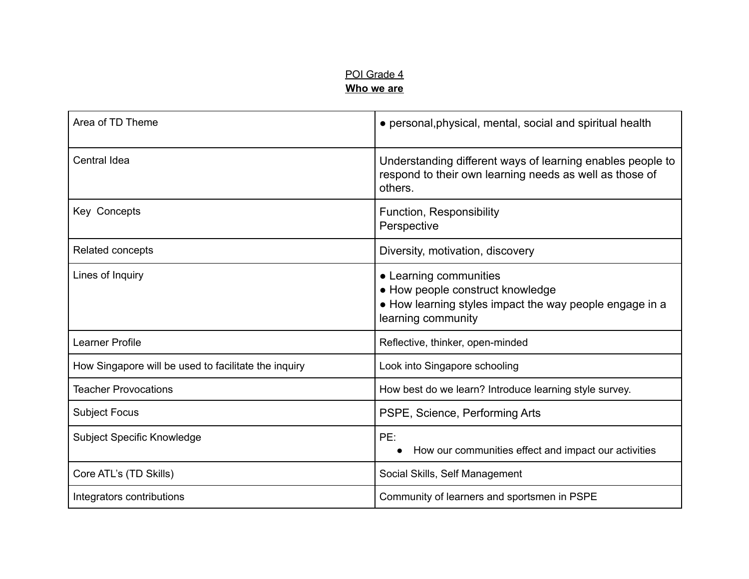### POI Grade 4 **Who we are**

| Area of TD Theme                                     | • personal, physical, mental, social and spiritual health                                                                                   |
|------------------------------------------------------|---------------------------------------------------------------------------------------------------------------------------------------------|
| Central Idea                                         | Understanding different ways of learning enables people to<br>respond to their own learning needs as well as those of<br>others.            |
| Key Concepts                                         | Function, Responsibility<br>Perspective                                                                                                     |
| Related concepts                                     | Diversity, motivation, discovery                                                                                                            |
| Lines of Inquiry                                     | • Learning communities<br>• How people construct knowledge<br>• How learning styles impact the way people engage in a<br>learning community |
| <b>Learner Profile</b>                               | Reflective, thinker, open-minded                                                                                                            |
| How Singapore will be used to facilitate the inquiry | Look into Singapore schooling                                                                                                               |
| <b>Teacher Provocations</b>                          | How best do we learn? Introduce learning style survey.                                                                                      |
| <b>Subject Focus</b>                                 | PSPE, Science, Performing Arts                                                                                                              |
| <b>Subject Specific Knowledge</b>                    | PE:<br>How our communities effect and impact our activities<br>$\bullet$                                                                    |
| Core ATL's (TD Skills)                               | Social Skills, Self Management                                                                                                              |
| Integrators contributions                            | Community of learners and sportsmen in PSPE                                                                                                 |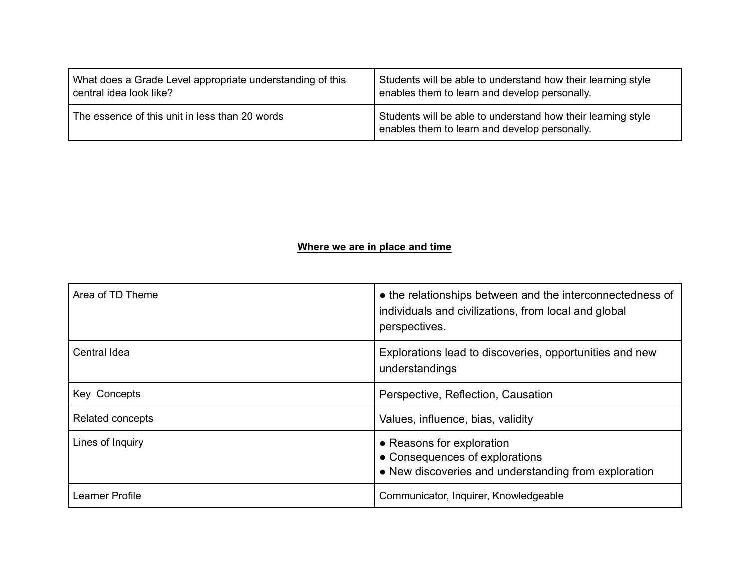| What does a Grade Level appropriate understanding of this | Students will be able to understand how their learning style                                                  |
|-----------------------------------------------------------|---------------------------------------------------------------------------------------------------------------|
| central idea look like?                                   | enables them to learn and develop personally.                                                                 |
| The essence of this unit in less than 20 words            | Students will be able to understand how their learning style<br>enables them to learn and develop personally. |

# **Where we are in place and time**

| Area of TD Theme | • the relationships between and the interconnectedness of<br>individuals and civilizations, from local and global<br>perspectives. |
|------------------|------------------------------------------------------------------------------------------------------------------------------------|
| Central Idea     | Explorations lead to discoveries, opportunities and new<br>understandings                                                          |
| Key Concepts     | Perspective, Reflection, Causation                                                                                                 |
| Related concepts | Values, influence, bias, validity                                                                                                  |
| Lines of Inquiry | • Reasons for exploration<br>• Consequences of explorations<br>• New discoveries and understanding from exploration                |
| Learner Profile  | Communicator, Inquirer, Knowledgeable                                                                                              |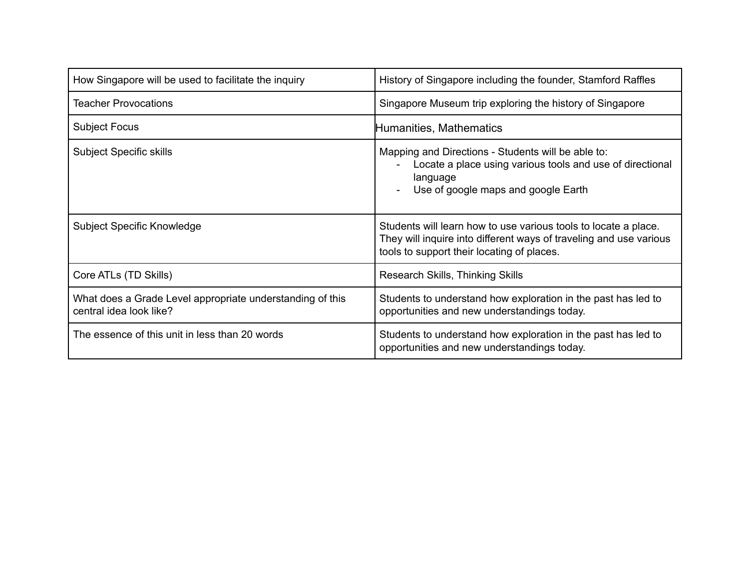| How Singapore will be used to facilitate the inquiry                                 | History of Singapore including the founder, Stamford Raffles                                                                                                                        |
|--------------------------------------------------------------------------------------|-------------------------------------------------------------------------------------------------------------------------------------------------------------------------------------|
| <b>Teacher Provocations</b>                                                          | Singapore Museum trip exploring the history of Singapore                                                                                                                            |
| <b>Subject Focus</b>                                                                 | Humanities, Mathematics                                                                                                                                                             |
| <b>Subject Specific skills</b>                                                       | Mapping and Directions - Students will be able to:<br>Locate a place using various tools and use of directional<br>language<br>Use of google maps and google Earth                  |
| Subject Specific Knowledge                                                           | Students will learn how to use various tools to locate a place.<br>They will inquire into different ways of traveling and use various<br>tools to support their locating of places. |
| Core ATLs (TD Skills)                                                                | Research Skills, Thinking Skills                                                                                                                                                    |
| What does a Grade Level appropriate understanding of this<br>central idea look like? | Students to understand how exploration in the past has led to<br>opportunities and new understandings today.                                                                        |
| The essence of this unit in less than 20 words                                       | Students to understand how exploration in the past has led to<br>opportunities and new understandings today.                                                                        |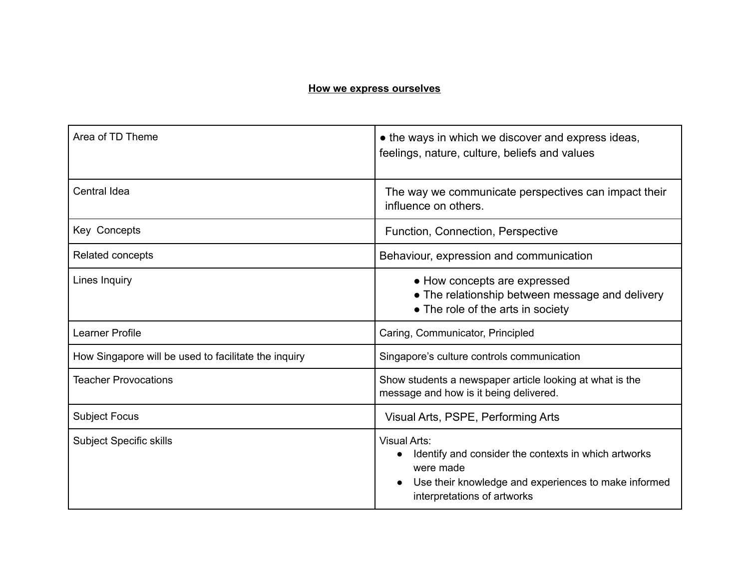#### **How we express ourselves**

| Area of TD Theme                                     | • the ways in which we discover and express ideas,<br>feelings, nature, culture, beliefs and values                                                                                          |
|------------------------------------------------------|----------------------------------------------------------------------------------------------------------------------------------------------------------------------------------------------|
| Central Idea                                         | The way we communicate perspectives can impact their<br>influence on others.                                                                                                                 |
| Key Concepts                                         | Function, Connection, Perspective                                                                                                                                                            |
| <b>Related concepts</b>                              | Behaviour, expression and communication                                                                                                                                                      |
| Lines Inquiry                                        | • How concepts are expressed<br>• The relationship between message and delivery<br>• The role of the arts in society                                                                         |
| <b>Learner Profile</b>                               | Caring, Communicator, Principled                                                                                                                                                             |
| How Singapore will be used to facilitate the inquiry | Singapore's culture controls communication                                                                                                                                                   |
| <b>Teacher Provocations</b>                          | Show students a newspaper article looking at what is the<br>message and how is it being delivered.                                                                                           |
| <b>Subject Focus</b>                                 | Visual Arts, PSPE, Performing Arts                                                                                                                                                           |
| <b>Subject Specific skills</b>                       | <b>Visual Arts:</b><br>Identify and consider the contexts in which artworks<br>were made<br>Use their knowledge and experiences to make informed<br>$\bullet$<br>interpretations of artworks |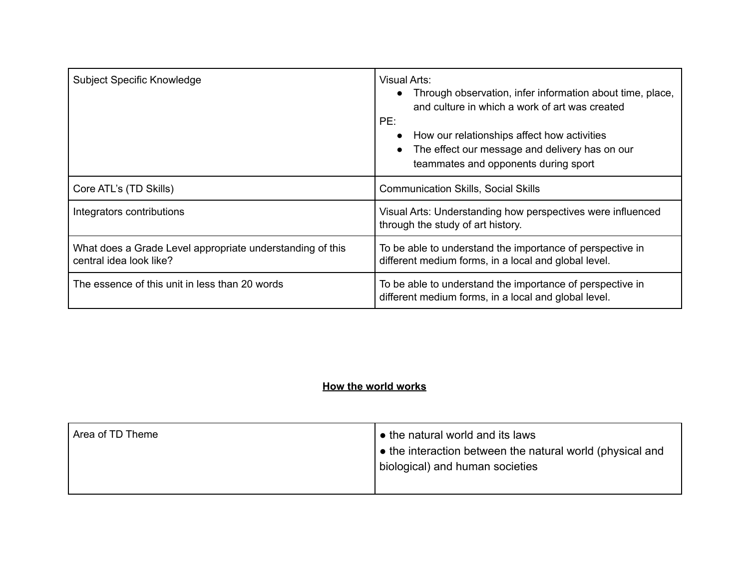| <b>Subject Specific Knowledge</b>                                                    | <b>Visual Arts:</b><br>Through observation, infer information about time, place,<br>and culture in which a work of art was created<br>PE:<br>How our relationships affect how activities<br>The effect our message and delivery has on our<br>teammates and opponents during sport |
|--------------------------------------------------------------------------------------|------------------------------------------------------------------------------------------------------------------------------------------------------------------------------------------------------------------------------------------------------------------------------------|
| Core ATL's (TD Skills)                                                               | <b>Communication Skills, Social Skills</b>                                                                                                                                                                                                                                         |
| Integrators contributions                                                            | Visual Arts: Understanding how perspectives were influenced<br>through the study of art history.                                                                                                                                                                                   |
| What does a Grade Level appropriate understanding of this<br>central idea look like? | To be able to understand the importance of perspective in<br>different medium forms, in a local and global level.                                                                                                                                                                  |
| The essence of this unit in less than 20 words                                       | To be able to understand the importance of perspective in<br>different medium forms, in a local and global level.                                                                                                                                                                  |

## **How the world works**

| Area of TD Theme | $\bullet$ the natural world and its laws                          |
|------------------|-------------------------------------------------------------------|
|                  | $\bullet$ the interaction between the natural world (physical and |
|                  | biological) and human societies                                   |
|                  |                                                                   |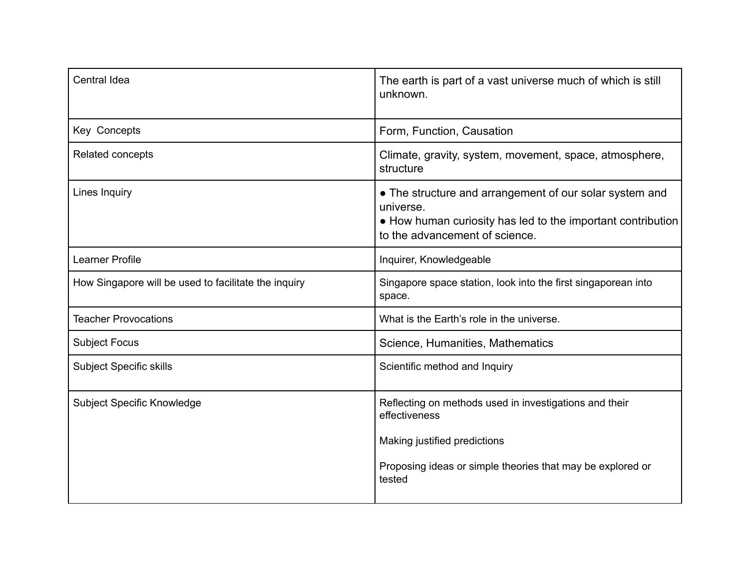| Central Idea                                         | The earth is part of a vast universe much of which is still<br>unknown.                                                                                                         |
|------------------------------------------------------|---------------------------------------------------------------------------------------------------------------------------------------------------------------------------------|
| Key Concepts                                         | Form, Function, Causation                                                                                                                                                       |
| Related concepts                                     | Climate, gravity, system, movement, space, atmosphere,<br>structure                                                                                                             |
| Lines Inquiry                                        | • The structure and arrangement of our solar system and<br>universe.<br>• How human curiosity has led to the important contribution<br>to the advancement of science.           |
| <b>Learner Profile</b>                               | Inquirer, Knowledgeable                                                                                                                                                         |
| How Singapore will be used to facilitate the inquiry | Singapore space station, look into the first singaporean into<br>space.                                                                                                         |
| <b>Teacher Provocations</b>                          | What is the Earth's role in the universe.                                                                                                                                       |
| <b>Subject Focus</b>                                 | Science, Humanities, Mathematics                                                                                                                                                |
| <b>Subject Specific skills</b>                       | Scientific method and Inquiry                                                                                                                                                   |
| Subject Specific Knowledge                           | Reflecting on methods used in investigations and their<br>effectiveness<br>Making justified predictions<br>Proposing ideas or simple theories that may be explored or<br>tested |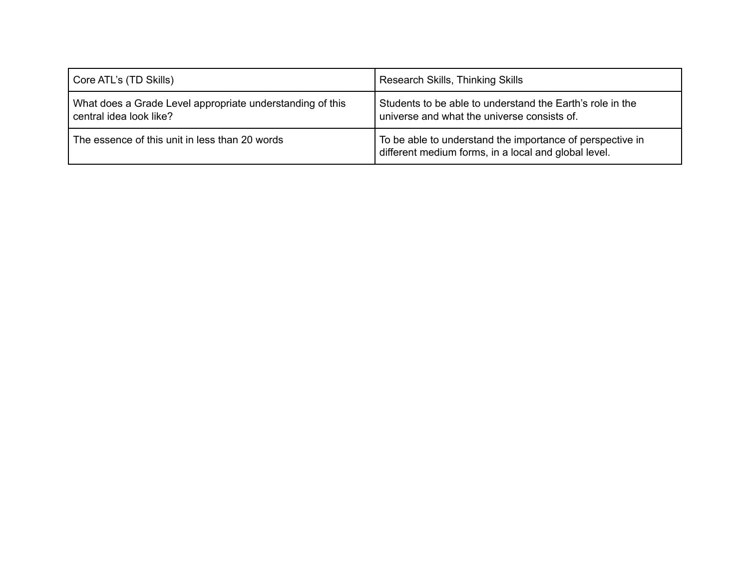| Core ATL's (TD Skills)                                                               | Research Skills, Thinking Skills                                                                                  |
|--------------------------------------------------------------------------------------|-------------------------------------------------------------------------------------------------------------------|
| What does a Grade Level appropriate understanding of this<br>central idea look like? | Students to be able to understand the Earth's role in the<br>universe and what the universe consists of.          |
| The essence of this unit in less than 20 words                                       | To be able to understand the importance of perspective in<br>different medium forms, in a local and global level. |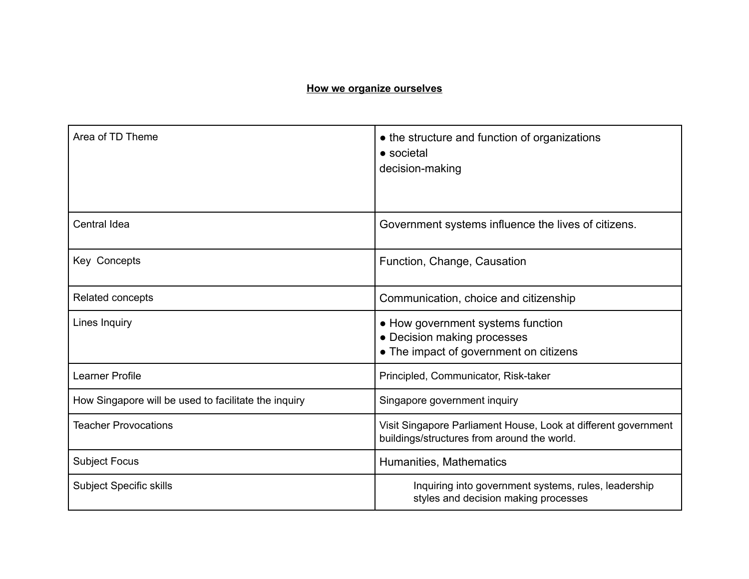## **How we organize ourselves**

| Area of TD Theme                                     | • the structure and function of organizations<br>• societal<br>decision-making                                |
|------------------------------------------------------|---------------------------------------------------------------------------------------------------------------|
| Central Idea                                         | Government systems influence the lives of citizens.                                                           |
| Key Concepts                                         | Function, Change, Causation                                                                                   |
| Related concepts                                     | Communication, choice and citizenship                                                                         |
| Lines Inquiry                                        | • How government systems function<br>• Decision making processes<br>• The impact of government on citizens    |
| Learner Profile                                      | Principled, Communicator, Risk-taker                                                                          |
| How Singapore will be used to facilitate the inquiry | Singapore government inquiry                                                                                  |
| <b>Teacher Provocations</b>                          | Visit Singapore Parliament House, Look at different government<br>buildings/structures from around the world. |
| <b>Subject Focus</b>                                 | Humanities, Mathematics                                                                                       |
| <b>Subject Specific skills</b>                       | Inquiring into government systems, rules, leadership<br>styles and decision making processes                  |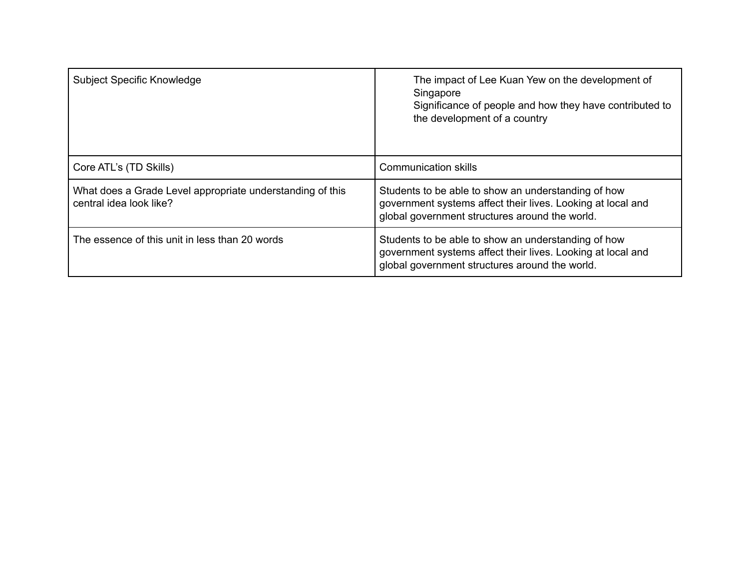| <b>Subject Specific Knowledge</b>                                                    | The impact of Lee Kuan Yew on the development of<br>Singapore<br>Significance of people and how they have contributed to<br>the development of a country             |
|--------------------------------------------------------------------------------------|----------------------------------------------------------------------------------------------------------------------------------------------------------------------|
| Core ATL's (TD Skills)                                                               | <b>Communication skills</b>                                                                                                                                          |
| What does a Grade Level appropriate understanding of this<br>central idea look like? | Students to be able to show an understanding of how<br>government systems affect their lives. Looking at local and<br>global government structures around the world. |
| The essence of this unit in less than 20 words                                       | Students to be able to show an understanding of how<br>government systems affect their lives. Looking at local and<br>global government structures around the world. |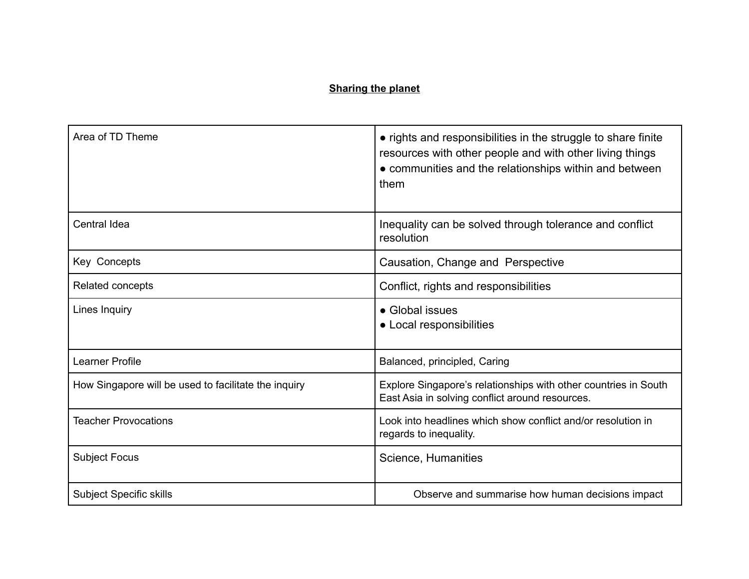## **Sharing the planet**

| Area of TD Theme                                     | • rights and responsibilities in the struggle to share finite<br>resources with other people and with other living things<br>• communities and the relationships within and between<br>them |
|------------------------------------------------------|---------------------------------------------------------------------------------------------------------------------------------------------------------------------------------------------|
| <b>Central Idea</b>                                  | Inequality can be solved through tolerance and conflict<br>resolution                                                                                                                       |
| Key Concepts                                         | Causation, Change and Perspective                                                                                                                                                           |
| Related concepts                                     | Conflict, rights and responsibilities                                                                                                                                                       |
| Lines Inquiry                                        | • Global issues<br>• Local responsibilities                                                                                                                                                 |
| <b>Learner Profile</b>                               | Balanced, principled, Caring                                                                                                                                                                |
| How Singapore will be used to facilitate the inquiry | Explore Singapore's relationships with other countries in South<br>East Asia in solving conflict around resources.                                                                          |
| <b>Teacher Provocations</b>                          | Look into headlines which show conflict and/or resolution in<br>regards to inequality.                                                                                                      |
| <b>Subject Focus</b>                                 | Science, Humanities                                                                                                                                                                         |
| <b>Subject Specific skills</b>                       | Observe and summarise how human decisions impact                                                                                                                                            |